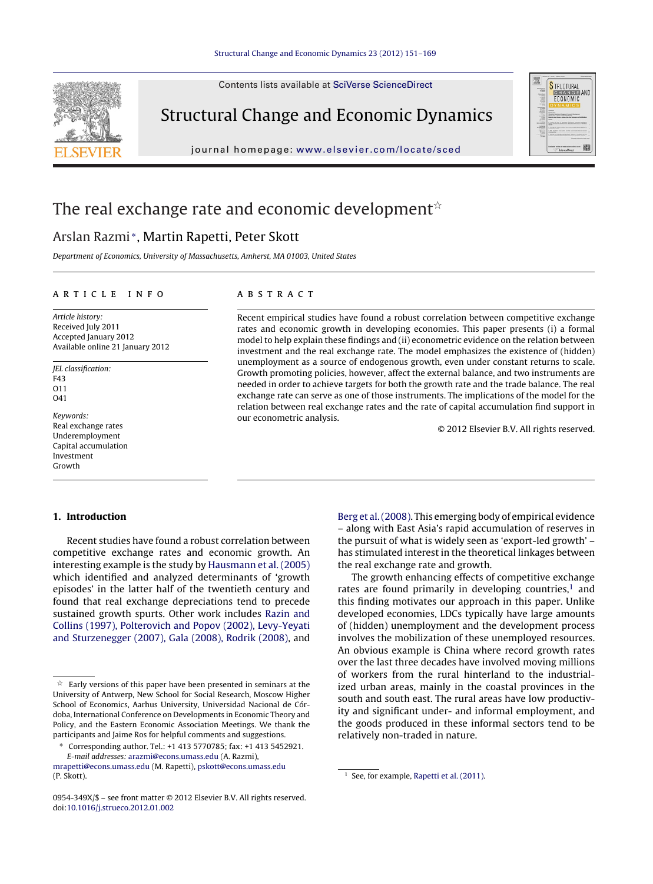Contents lists available at SciVerse [ScienceDirect](http://www.sciencedirect.com/science/journal/0954349X)



Structural Change and Economic Dynamics

journal homepage: [www.elsevier.com/locate/sced](http://www.elsevier.com/locate/sced)



## The real exchange rate and economic development $^{\scriptscriptstyle\star}$

## Arslan Razmi <sup>∗</sup>, Martin Rapetti, Peter Skott

Department of Economics, University of Massachusetts, Amherst, MA 01003, United States

### ARTICLE INFO

Article history: Received July 2011 Accepted January 2012 Available online 21 January 2012

JEL classification: F43  $011$ O41

Keywords: Real exchange rates Underemployment Capital accumulation Investment Growth

A B S T R A C T

Recent empirical studies have found a robust correlation between competitive exchange rates and economic growth in developing economies. This paper presents (i) a formal model to help explain these findings and (ii) econometric evidence on the relation between investment and the real exchange rate. The model emphasizes the existence of (hidden) unemployment as a source of endogenous growth, even under constant returns to scale. Growth promoting policies, however, affect the external balance, and two instruments are needed in order to achieve targets for both the growth rate and the trade balance. The real exchange rate can serve as one of those instruments. The implications of the model for the relation between real exchange rates and the rate of capital accumulation find support in our econometric analysis.

© 2012 Elsevier B.V. All rights reserved.

### **1. Introduction**

Recent studies have found a robust correlation between competitive exchange rates and economic growth. An interesting example is the study by [Hausmann](#page--1-0) et [al.](#page--1-0) [\(2005\)](#page--1-0) which identified and analyzed determinants of 'growth episodes' in the latter half of the twentieth century and found that real exchange depreciations tend to precede sustained growth spurts. Other work includes [Razin](#page--1-0) [and](#page--1-0) [Collins](#page--1-0) [\(1997\),](#page--1-0) [Polterovich](#page--1-0) [and](#page--1-0) [Popov](#page--1-0) [\(2002\),](#page--1-0) [Levy-Yeyati](#page--1-0) [and](#page--1-0) [Sturzenegger](#page--1-0) [\(2007\),](#page--1-0) [Gala](#page--1-0) [\(2008\),](#page--1-0) [Rodrik](#page--1-0) [\(2008\),](#page--1-0) and

∗ Corresponding author. Tel.: +1 413 5770785; fax: +1 413 5452921. E-mail addresses: [arazmi@econs.umass.edu](mailto:arazmi@econs.umass.edu) (A. Razmi),

[Berg](#page--1-0) et [al.\(2008\).](#page--1-0) This emerging body of empirical evidence – along with East Asia's rapid accumulation of reserves in the pursuit of what is widely seen as 'export-led growth' – has stimulated interest in the theoretical linkages between the real exchange rate and growth.

The growth enhancing effects of competitive exchange rates are found primarily in developing countries, $1$  and this finding motivates our approach in this paper. Unlike developed economies, LDCs typically have large amounts of (hidden) unemployment and the development process involves the mobilization of these unemployed resources. An obvious example is China where record growth rates over the last three decades have involved moving millions of workers from the rural hinterland to the industrialized urban areas, mainly in the coastal provinces in the south and south east. The rural areas have low productivity and significant under- and informal employment, and the goods produced in these informal sectors tend to be relatively non-traded in nature.

 $\overrightarrow{x}$  Early versions of this paper have been presented in seminars at the University of Antwerp, New School for Social Research, Moscow Higher School of Economics, Aarhus University, Universidad Nacional de Córdoba, International Conference on Developments in Economic Theory and Policy, and the Eastern Economic Association Meetings. We thank the participants and Jaime Ros for helpful comments and suggestions.

[mrapetti@econs.umass.edu](mailto:mrapetti@econs.umass.edu) (M. Rapetti), [pskott@econs.umass.edu](mailto:pskott@econs.umass.edu) (P. Skott).

<sup>0954-349</sup>X/\$ – see front matter © 2012 Elsevier B.V. All rights reserved. doi:[10.1016/j.strueco.2012.01.002](dx.doi.org/10.1016/j.strueco.2012.01.002)

<sup>&</sup>lt;sup>1</sup> See, for example, [Rapetti](#page--1-0) et [al.](#page--1-0) [\(2011\).](#page--1-0)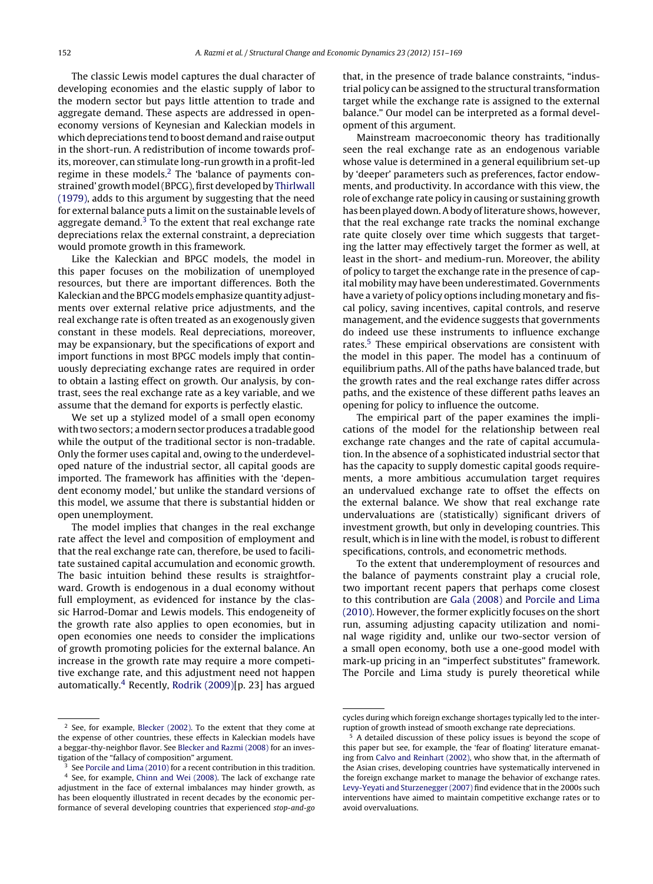The classic Lewis model captures the dual character of developing economies and the elastic supply of labor to the modern sector but pays little attention to trade and aggregate demand. These aspects are addressed in openeconomy versions of Keynesian and Kaleckian models in which depreciations tend to boost demand and raise output in the short-run. A redistribution of income towards profits, moreover, can stimulate long-run growth in a profit-led regime in these models.<sup>2</sup> The 'balance of payments con-strained' growth model (BPCG), first developed by [Thirlwall](#page--1-0) [\(1979\),](#page--1-0) adds to this argument by suggesting that the need for external balance puts a limit on the sustainable levels of aggregate demand. $3$  To the extent that real exchange rate depreciations relax the external constraint, a depreciation would promote growth in this framework.

Like the Kaleckian and BPGC models, the model in this paper focuses on the mobilization of unemployed resources, but there are important differences. Both the Kaleckian and the BPCG models emphasize quantity adjustments over external relative price adjustments, and the real exchange rate is often treated as an exogenously given constant in these models. Real depreciations, moreover, may be expansionary, but the specifications of export and import functions in most BPGC models imply that continuously depreciating exchange rates are required in order to obtain a lasting effect on growth. Our analysis, by contrast, sees the real exchange rate as a key variable, and we assume that the demand for exports is perfectly elastic.

We set up a stylized model of a small open economy with two sectors; amodern sector produces a tradable good while the output of the traditional sector is non-tradable. Only the former uses capital and, owing to the underdeveloped nature of the industrial sector, all capital goods are imported. The framework has affinities with the 'dependent economy model,' but unlike the standard versions of this model, we assume that there is substantial hidden or open unemployment.

The model implies that changes in the real exchange rate affect the level and composition of employment and that the real exchange rate can, therefore, be used to facilitate sustained capital accumulation and economic growth. The basic intuition behind these results is straightforward. Growth is endogenous in a dual economy without full employment, as evidenced for instance by the classic Harrod-Domar and Lewis models. This endogeneity of the growth rate also applies to open economies, but in open economies one needs to consider the implications of growth promoting policies for the external balance. An increase in the growth rate may require a more competitive exchange rate, and this adjustment need not happen automatically.4 Recently, [Rodrik](#page--1-0) [\(2009\)\[p](#page--1-0). 23] has argued that, in the presence of trade balance constraints, "industrial policy can be assigned to the structural transformation target while the exchange rate is assigned to the external balance." Our model can be interpreted as a formal development of this argument.

Mainstream macroeconomic theory has traditionally seen the real exchange rate as an endogenous variable whose value is determined in a general equilibrium set-up by 'deeper' parameters such as preferences, factor endowments, and productivity. In accordance with this view, the role of exchange rate policy in causing or sustaining growth has been played down. A body of literature shows, however, that the real exchange rate tracks the nominal exchange rate quite closely over time which suggests that targeting the latter may effectively target the former as well, at least in the short- and medium-run. Moreover, the ability of policy to target the exchange rate in the presence of capital mobility may have been underestimated. Governments have a variety of policy options including monetary and fiscal policy, saving incentives, capital controls, and reserve management, and the evidence suggests that governments do indeed use these instruments to influence exchange rates.<sup>5</sup> These empirical observations are consistent with the model in this paper. The model has a continuum of equilibrium paths. All of the paths have balanced trade, but the growth rates and the real exchange rates differ across paths, and the existence of these different paths leaves an opening for policy to influence the outcome.

The empirical part of the paper examines the implications of the model for the relationship between real exchange rate changes and the rate of capital accumulation. In the absence of a sophisticated industrial sector that has the capacity to supply domestic capital goods requirements, a more ambitious accumulation target requires an undervalued exchange rate to offset the effects on the external balance. We show that real exchange rate undervaluations are (statistically) significant drivers of investment growth, but only in developing countries. This result, which is in line with the model, is robust to different specifications, controls, and econometric methods.

To the extent that underemployment of resources and the balance of payments constraint play a crucial role, two important recent papers that perhaps come closest to this contribution are [Gala](#page--1-0) [\(2008\)](#page--1-0) and [Porcile](#page--1-0) [and](#page--1-0) [Lima](#page--1-0) [\(2010\).](#page--1-0) However, the former explicitly focuses on the short run, assuming adjusting capacity utilization and nominal wage rigidity and, unlike our two-sector version of a small open economy, both use a one-good model with mark-up pricing in an "imperfect substitutes" framework. The Porcile and Lima study is purely theoretical while

<sup>2</sup> See, for example, [Blecker](#page--1-0) [\(2002\).](#page--1-0) To the extent that they come at the expense of other countries, these effects in Kaleckian models have a beggar-thy-neighbor flavor. See [Blecker](#page--1-0) [and](#page--1-0) [Razmi](#page--1-0) [\(2008\)](#page--1-0) for an investigation of the "fallacy of composition" argument.

See [Porcile](#page--1-0) [and](#page--1-0) [Lima](#page--1-0) [\(2010\)](#page--1-0) for a recent contribution in this tradition.

<sup>4</sup> See, for example, [Chinn](#page--1-0) [and](#page--1-0) [Wei](#page--1-0) [\(2008\).](#page--1-0) The lack of exchange rate adjustment in the face of external imbalances may hinder growth, as has been eloquently illustrated in recent decades by the economic performance of several developing countries that experienced stop-and-go

cycles during which foreign exchange shortages typically led to the interruption of growth instead of smooth exchange rate depreciations.

<sup>5</sup> A detailed discussion of these policy issues is beyond the scope of this paper but see, for example, the 'fear of floating' literature emanating from [Calvo](#page--1-0) [and](#page--1-0) [Reinhart](#page--1-0) [\(2002\),](#page--1-0) who show that, in the aftermath of the Asian crises, developing countries have systematically intervened in the foreign exchange market to manage the behavior of exchange rates. [Levy-Yeyati](#page--1-0) [and](#page--1-0) [Sturzenegger](#page--1-0) [\(2007\)](#page--1-0) find evidence that in the 2000s such interventions have aimed to maintain competitive exchange rates or to avoid overvaluations.